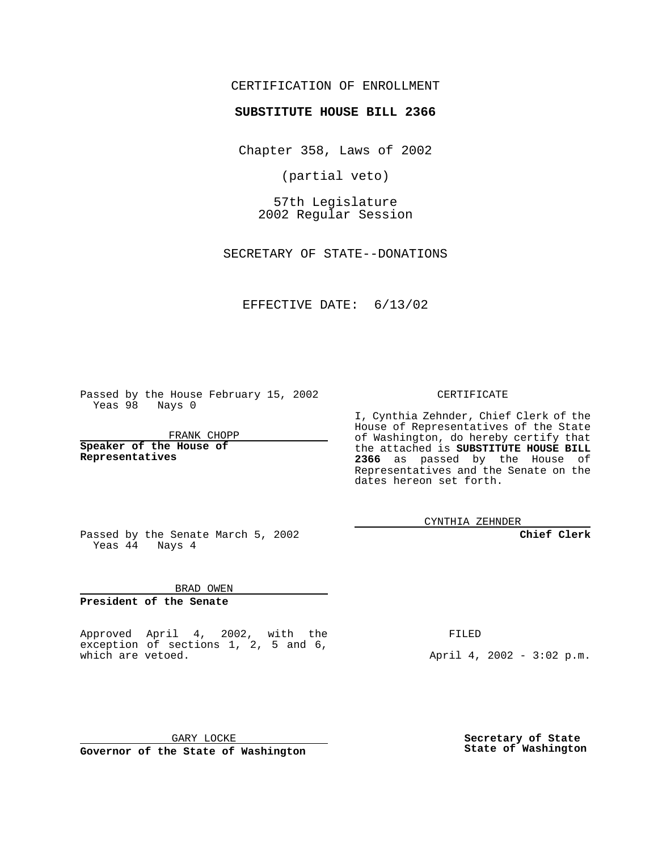## CERTIFICATION OF ENROLLMENT

## **SUBSTITUTE HOUSE BILL 2366**

Chapter 358, Laws of 2002

(partial veto)

57th Legislature 2002 Regular Session

SECRETARY OF STATE--DONATIONS

## EFFECTIVE DATE: 6/13/02

Passed by the House February 15, 2002 Yeas 98 Nays 0

FRANK CHOPP

**Speaker of the House of Representatives**

CERTIFICATE

I, Cynthia Zehnder, Chief Clerk of the House of Representatives of the State of Washington, do hereby certify that the attached is **SUBSTITUTE HOUSE BILL 2366** as passed by the House of Representatives and the Senate on the dates hereon set forth.

CYNTHIA ZEHNDER

**Chief Clerk**

Passed by the Senate March 5, 2002 Yeas  $4\overline{4}$  Nays  $4$ 

BRAD OWEN

**President of the Senate**

Approved April 4, 2002, with the exception of sections 1, 2, 5 and 6, which are vetoed.

FILED

April 4, 2002 - 3:02 p.m.

GARY LOCKE **Governor of the State of Washington**

**Secretary of State State of Washington**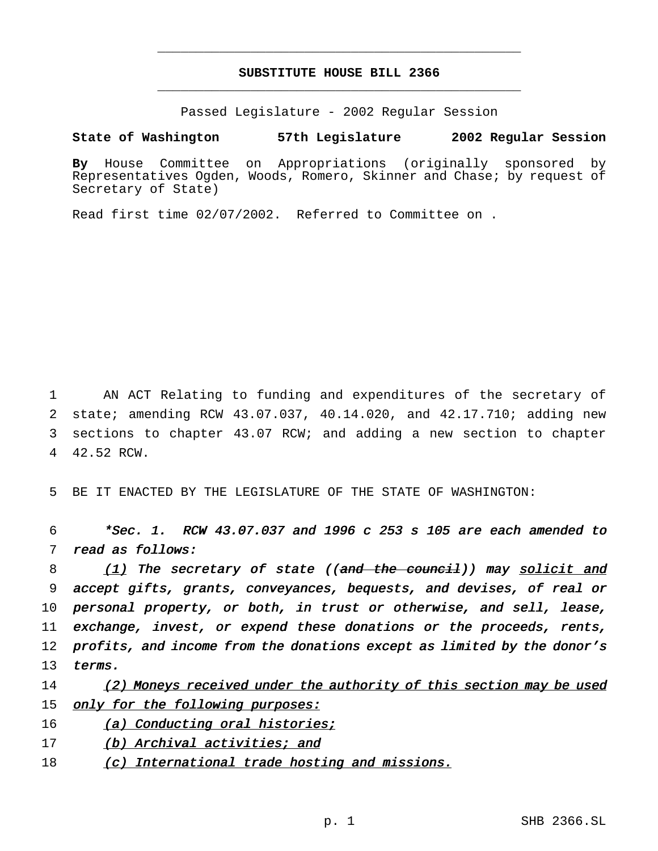## **SUBSTITUTE HOUSE BILL 2366** \_\_\_\_\_\_\_\_\_\_\_\_\_\_\_\_\_\_\_\_\_\_\_\_\_\_\_\_\_\_\_\_\_\_\_\_\_\_\_\_\_\_\_\_\_\_\_

\_\_\_\_\_\_\_\_\_\_\_\_\_\_\_\_\_\_\_\_\_\_\_\_\_\_\_\_\_\_\_\_\_\_\_\_\_\_\_\_\_\_\_\_\_\_\_

Passed Legislature - 2002 Regular Session

**State of Washington 57th Legislature 2002 Regular Session**

**By** House Committee on Appropriations (originally sponsored by Representatives Ogden, Woods, Romero, Skinner and Chase; by request of Secretary of State)

Read first time 02/07/2002. Referred to Committee on .

 AN ACT Relating to funding and expenditures of the secretary of state; amending RCW 43.07.037, 40.14.020, and 42.17.710; adding new sections to chapter 43.07 RCW; and adding a new section to chapter 42.52 RCW.

5 BE IT ENACTED BY THE LEGISLATURE OF THE STATE OF WASHINGTON:

6 \*Sec. 1. RCW 43.07.037 and <sup>1996</sup> <sup>c</sup> <sup>253</sup> <sup>s</sup> <sup>105</sup> are each amended to 7 read as follows:

8 (1) The secretary of state ((and the council)) may solicit and 9 accept gifts, grants, conveyances, bequests, and devises, of real or 10 personal property, or both, in trust or otherwise, and sell, lease, 11 exchange, invest, or expend these donations or the proceeds, rents, 12 profits, and income from the donations except as limited by the donor's 13 terms.

14 (2) Moneys received under the authority of this section may be used 15 only for the following purposes:

- 16 (a) Conducting oral histories;
- 17 (b) Archival activities; and
- 18 (c) International trade hosting and missions.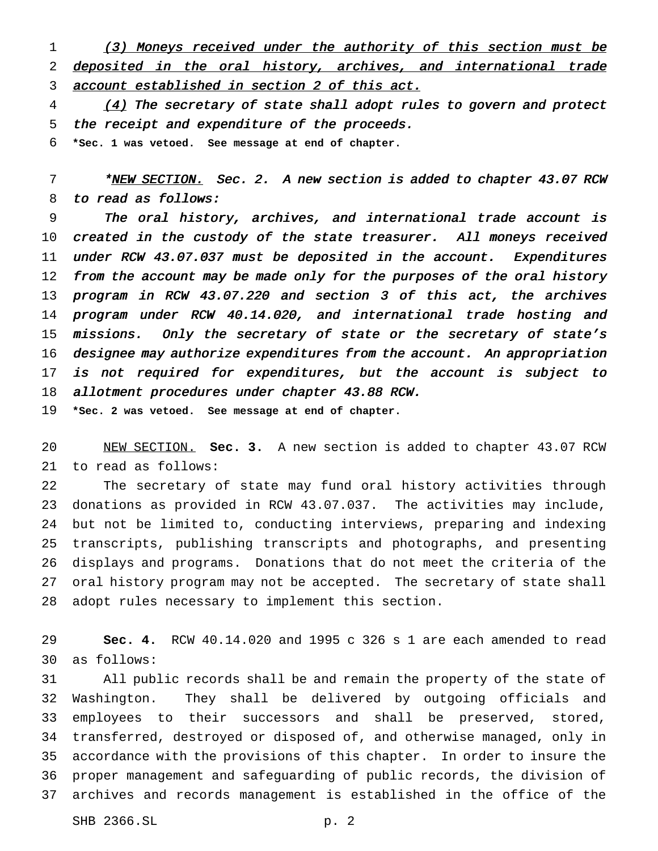1 (3) Moneys received under the authority of this section must be deposited in the oral history, archives, and international trade 3 account established in section 2 of this act.

4 (4) The secretary of state shall adopt rules to govern and protect the receipt and expenditure of the proceeds. **\*Sec. 1 was vetoed. See message at end of chapter.**

7 \*NEW SECTION. Sec. 2. A new section is added to chapter 43.07 RCW to read as follows:

 The oral history, archives, and international trade account is 10 created in the custody of the state treasurer. All moneys received 11 under RCW 43.07.037 must be deposited in the account. Expenditures 12 from the account may be made only for the purposes of the oral history program in RCW 43.07.220 and section <sup>3</sup> of this act, the archives program under RCW 40.14.020, and international trade hosting and 15 missions. Only the secretary of state or the secretary of state's designee may authorize expenditures from the account. An appropriation 17 is not required for expenditures, but the account is subject to 18 allotment procedures under chapter 43.88 RCW.

**\*Sec. 2 was vetoed. See message at end of chapter.**

 NEW SECTION. **Sec. 3.** A new section is added to chapter 43.07 RCW to read as follows:

 The secretary of state may fund oral history activities through donations as provided in RCW 43.07.037. The activities may include, but not be limited to, conducting interviews, preparing and indexing transcripts, publishing transcripts and photographs, and presenting displays and programs. Donations that do not meet the criteria of the oral history program may not be accepted. The secretary of state shall adopt rules necessary to implement this section.

 **Sec. 4.** RCW 40.14.020 and 1995 c 326 s 1 are each amended to read as follows:

 All public records shall be and remain the property of the state of Washington. They shall be delivered by outgoing officials and employees to their successors and shall be preserved, stored, transferred, destroyed or disposed of, and otherwise managed, only in accordance with the provisions of this chapter. In order to insure the proper management and safeguarding of public records, the division of archives and records management is established in the office of the

SHB 2366.SL p. 2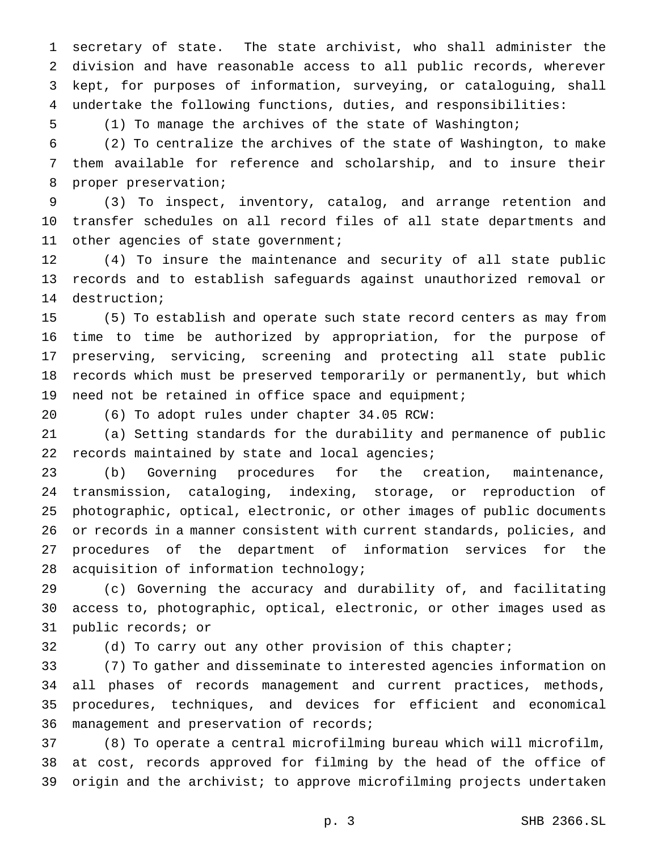secretary of state. The state archivist, who shall administer the division and have reasonable access to all public records, wherever kept, for purposes of information, surveying, or cataloguing, shall undertake the following functions, duties, and responsibilities:

(1) To manage the archives of the state of Washington;

 (2) To centralize the archives of the state of Washington, to make them available for reference and scholarship, and to insure their proper preservation;

 (3) To inspect, inventory, catalog, and arrange retention and transfer schedules on all record files of all state departments and 11 other agencies of state government;

 (4) To insure the maintenance and security of all state public records and to establish safeguards against unauthorized removal or destruction;

 (5) To establish and operate such state record centers as may from time to time be authorized by appropriation, for the purpose of preserving, servicing, screening and protecting all state public records which must be preserved temporarily or permanently, but which need not be retained in office space and equipment;

(6) To adopt rules under chapter 34.05 RCW:

 (a) Setting standards for the durability and permanence of public 22 records maintained by state and local agencies;

 (b) Governing procedures for the creation, maintenance, transmission, cataloging, indexing, storage, or reproduction of photographic, optical, electronic, or other images of public documents or records in a manner consistent with current standards, policies, and procedures of the department of information services for the acquisition of information technology;

 (c) Governing the accuracy and durability of, and facilitating access to, photographic, optical, electronic, or other images used as public records; or

(d) To carry out any other provision of this chapter;

 (7) To gather and disseminate to interested agencies information on all phases of records management and current practices, methods, procedures, techniques, and devices for efficient and economical management and preservation of records;

 (8) To operate a central microfilming bureau which will microfilm, at cost, records approved for filming by the head of the office of origin and the archivist; to approve microfilming projects undertaken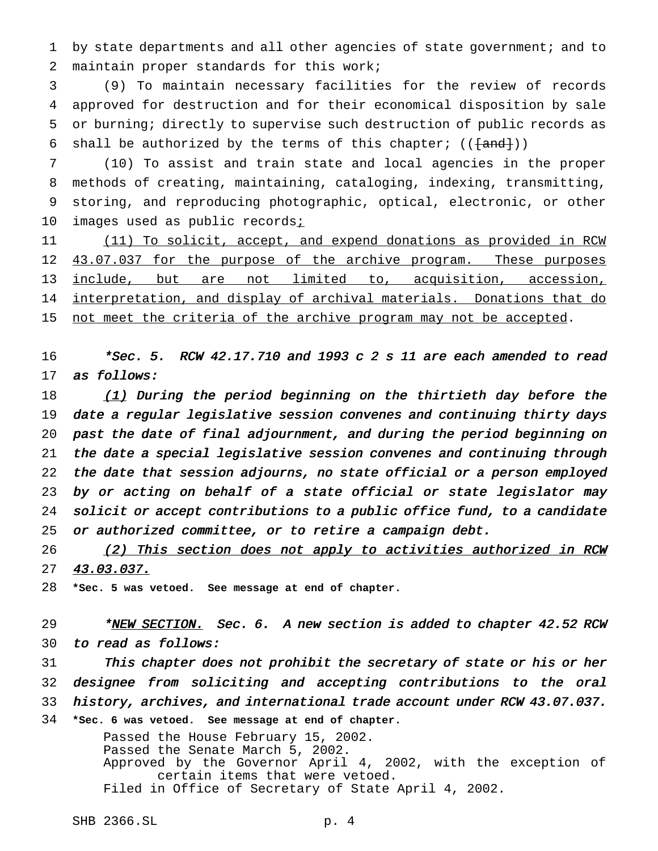1 by state departments and all other agencies of state government; and to maintain proper standards for this work;

 (9) To maintain necessary facilities for the review of records approved for destruction and for their economical disposition by sale or burning; directly to supervise such destruction of public records as 6 shall be authorized by the terms of this chapter;  $((\text{and})$ )

 (10) To assist and train state and local agencies in the proper methods of creating, maintaining, cataloging, indexing, transmitting, storing, and reproducing photographic, optical, electronic, or other 10 images used as public records<sub>i</sub>

 (11) To solicit, accept, and expend donations as provided in RCW 12 43.07.037 for the purpose of the archive program. These purposes include, but are not limited to, acquisition, accession, 14 interpretation, and display of archival materials. Donations that do 15 not meet the criteria of the archive program may not be accepted.

 $*$ Sec. 5. RCW 42.17.710 and 1993 c 2 s 11 are each amended to read as follows:

 $(1)$  During the period beginning on the thirtieth day before the date <sup>a</sup> regular legislative session convenes and continuing thirty days past the date of final adjournment, and during the period beginning on the date <sup>a</sup> special legislative session convenes and continuing through the date that session adjourns, no state official or <sup>a</sup> person employed by or acting on behalf of <sup>a</sup> state official or state legislator may solicit or accept contributions to <sup>a</sup> public office fund, to <sup>a</sup> candidate or authorized committee, or to retire <sup>a</sup> campaign debt.

26 (2) This section does not apply to activities authorized in RCW 43.03.037.

**\*Sec. 5 was vetoed. See message at end of chapter.**

29 \*NEW SECTION. Sec. 6. A new section is added to chapter 42.52 RCW to read as follows:

 This chapter does not prohibit the secretary of state or his or her designee from soliciting and accepting contributions to the oral history, archives, and international trade account under RCW 43.07.037. **\*Sec. 6 was vetoed. See message at end of chapter.**

> Passed the House February 15, 2002. Passed the Senate March 5, 2002. Approved by the Governor April 4, 2002, with the exception of certain items that were vetoed. Filed in Office of Secretary of State April 4, 2002.

SHB 2366.SL p. 4